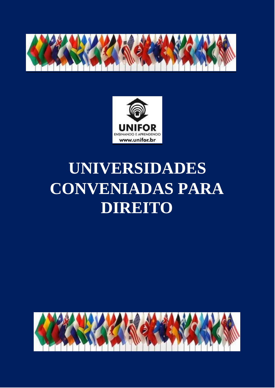



# **UNIVERSIDADES CONVENIADAS PARA DIREITO**

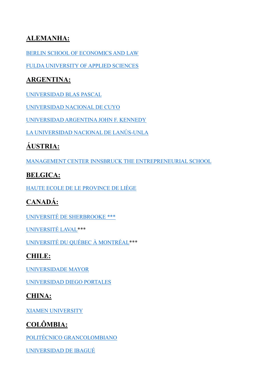#### **ALEMANHA:**

[BERLIN SCHOOL OF ECONOMICS AND LAW](https://www.hwr-berlin.de/en/study/degree-programmes/detail/11-wirtschaftsrecht/) 

[FULDA UNIVERSITY OF APPLIED SCIENCES](https://www.hs-fulda.de/sozial-kulturwissenschaften/)

#### **ARGENTINA:**

[UNIVERSIDAD](https://www.ubp.edu.ar/carreras/juridicas/abogacia/) BLAS PASCAL

[UNIVERSIDAD NACIONAL DE CUYO](http://www.uncuyo.edu.ar/estudios/carrera/abogacia_2605)

[UNIVERSIDAD ARGENTINA JOHN F. KENNEDY](https://www.kennedy.edu.ar/content/abogacia.html)

LA UNIVERSIDAD NACIONAL DE LANÚS-UNLA

# **ÁUSTRIA:**

[MANAGEMENT CENTER INNSBRUCK THE ENTREPRENEURIAL SCHOOL](https://www.mci.edu/de/studium/bachelor/management-recht)

## **BELGICA:**

HAUTE ECOLE DE LE [PROVINCE](https://www.provincedeliege.be/art260) DE LIÈGE

# **CANADÁ:**

[UNIVERSITÉ DE SHERBROOKE \\*\\*\\*](https://www.usherbrooke.ca/admission/programme/290/baccalaureat-en-droit/)

[UNIVERSITÉ LAVAL\\*](https://www.ulaval.ca/les-etudes/programmes/repertoire/details/baccalaureat-en-droit-ll-b.html)\*\*

[UNIVERSITÉ DU QUÉBEC](https://etudier.uqam.ca/programme?code=7308) À MONTRÉAL\*\*\*

## **CHILE:**

[UNIVERSIDADE](https://www.umayor.cl/um/carreras/derecho-santiago/10000) MAYOR

UNIVERSIDAD DIEGO PORTALES

#### **CHINA:**

[XIAMEN UNIVERSITY](https://en.xmu.edu.cn/_redirect?siteId=334&columnId=11945&articleId=223719)

## **COLÔMBIA:**

[POLITÉCNICO GRANCOLOMBIANO](https://www.poli.edu.co/content/derecho-medellin)

[UNIVERSIDAD DE IBAGUÉ](http://derecho.unibague.edu.co/)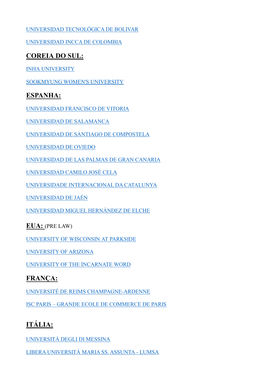[UNIVERSIDAD TECNOLÓGICA DE BOLIVAR](http://programas.utb.edu.co/derecho)

[UNIVERSIDAD INCCA DE COLOMBIA](https://www.unincca.edu.co/index.php?option=com_content&view=article&id=853&Itemid=243)

#### **COREIA DO SUL:**

INHA [UNIVERSITY](http://www.inha.ac.kr/mbshome/mbs/eng/subview.do?id=eng_020101000000)

[SOOKMYUNG WOMEN'S UNIVERSITY](http://e.sookmyung.ac.kr/sookmyungen/1454/subview.do)

#### **ESPANHA:**

[UNIVERSIDAD FRANCISCO DE VITORIA](https://www.ufv.es/estudiar-grado-derecho-madrid/)

[UNIVERSIDAD DE SALAMANCA](https://www.usal.es/grado-en-derecho)

[UNIVERSIDAD DE SANTIAGO DE](http://www.usc.es/graos/es/grados/ciencias-sociales-juridicas/derecho) COMPOSTELA

[UNIVERSIDAD DE OVIEDO](http://www.uniovi.es/estudios/grados/-/asset_publisher/X5CYKURHdF1e/content/grado-en-derecho-2014?redirect=%2Festudios%2Fgrados)

[UNIVERSIDAD DE LAS PALMAS DE GRAN CANARIA](https://www2.ulpgc.es/index.php?pagina=plan_estudio&ver=wpe002&codTitulacion=4015&tipotitulacion=G)

[UNIVERSIDAD CAMILO JOSÉ CELA](https://www.ucjc.edu/estudio/derecho/)

[UNIVERSIDADE INTERNACIONAL DA CATALUNYA](https://www.uic.es/en/studies-uic/law/degree-law)

[UNIVERSIDAD DE JAÉN](https://www.ujaen.es/estudios/oferta-academica/grados/grado-en-derecho)

[UNIVERSIDAD MIGUEL HERNÁNDEZ DE ELCHE](https://www.umh.es/contenido/Visitantes/:tit_g_139_R1/datos_es.html)

**EUA:** (PRE LAW)

[UNIVERSITY](https://www.uwp.edu/learn/programs/law.cfm) OF WISCONSIN AT PARKSIDE

[UNIVERSITY OF ARIZONA](https://clas.arizona.edu/pre-law/pre-law-advising-resources) 

[UNIVERSITY OF THE INCARNATE WORD](https://www.uiw.edu/chass/govt/prelaw_program.html)

#### **FRANÇA:**

[UNIVERSITÉ DE REIMS CHAMPAGNE-ARDENNE](https://www.univ-reims.fr/formation/nos-formations/catalogue/droit-economie-et-gestion/licence-droit,21633,36042.html)

ISC PARIS – [GRANDE ECOLE DE COMMERCE DE PARIS](https://www.iscparis.com/)

# **ITÁLIA:**

[UNIVERSITÀ DEGLI DI MESSINA](https://www.unime.it/it/cds/giurisprudenza)

[LIBERA UNIVERSITÀ MARIA SS. ASSUNTA -](https://www.lumsa.it/en/teaching_single_cycle_law_rome) LUMSA